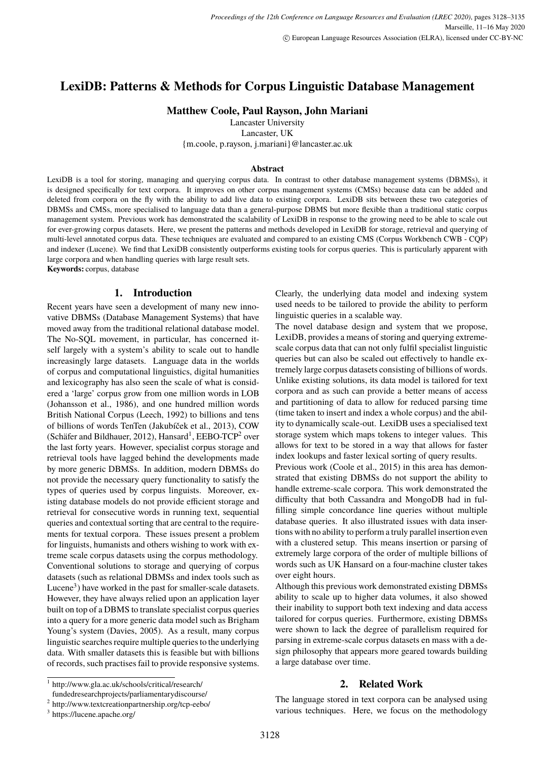# <span id="page-0-0"></span>**LexiDB: Patterns & Methods for Corpus Linguistic Database Management**

**Matthew Coole, Paul Rayson, John Mariani**

Lancaster University

Lancaster, UK {m.coole, p.rayson, j.mariani}@lancaster.ac.uk

#### **Abstract**

LexiDB is a tool for storing, managing and querying corpus data. In contrast to other database management systems (DBMSs), it is designed specifically for text corpora. It improves on other corpus management systems (CMSs) because data can be added and deleted from corpora on the fly with the ability to add live data to existing corpora. LexiDB sits between these two categories of DBMSs and CMSs, more specialised to language data than a general-purpose DBMS but more flexible than a traditional static corpus management system. Previous work has demonstrated the scalability of LexiDB in response to the growing need to be able to scale out for ever-growing corpus datasets. Here, we present the patterns and methods developed in LexiDB for storage, retrieval and querying of multi-level annotated corpus data. These techniques are evaluated and compared to an existing CMS (Corpus Workbench CWB - CQP) and indexer (Lucene). We find that LexiDB consistently outperforms existing tools for corpus queries. This is particularly apparent with large corpora and when handling queries with large result sets.

**Keywords:** corpus, database

# **1. Introduction**

Recent years have seen a development of many new innovative DBMSs (Database Management Systems) that have moved away from the traditional relational database model. The No-SQL movement, in particular, has concerned itself largely with a system's ability to scale out to handle increasingly large datasets. Language data in the worlds of corpus and computational linguistics, digital humanities and lexicography has also seen the scale of what is considered a 'large' corpus grow from one million words in LOB (Johansson et al., 1986), and one hundred million words British National Corpus (Leech, 1992) to billions and tens of billions of words TenTen (Jakubíček et al., 2013), COW (Schäfer and Bildhauer, 2012), Hansard<sup>1</sup>, EEBO-TCP<sup>2</sup> over the last forty years. However, specialist corpus storage and retrieval tools have lagged behind the developments made by more generic DBMSs. In addition, modern DBMSs do not provide the necessary query functionality to satisfy the types of queries used by corpus linguists. Moreover, existing database models do not provide efficient storage and retrieval for consecutive words in running text, sequential queries and contextual sorting that are central to the requirements for textual corpora. These issues present a problem for linguists, humanists and others wishing to work with extreme scale corpus datasets using the corpus methodology. Conventional solutions to storage and querying of corpus datasets (such as relational DBMSs and index tools such as Lucene<sup>3</sup>) have worked in the past for smaller-scale datasets. However, they have always relied upon an application layer built on top of a DBMS to translate specialist corpus queries into a query for a more generic data model such as Brigham Young's system (Davies, 2005). As a result, many corpus linguistic searches require multiple queries to the underlying data. With smaller datasets this is feasible but with billions of records, such practises fail to provide responsive systems. Clearly, the underlying data model and indexing system used needs to be tailored to provide the ability to perform linguistic queries in a scalable way.

The novel database design and system that we propose, LexiDB, provides a means of storing and querying extremescale corpus data that can not only fulfil specialist linguistic queries but can also be scaled out effectively to handle extremely large corpus datasets consisting of billions of words. Unlike existing solutions, its data model is tailored for text corpora and as such can provide a better means of access and partitioning of data to allow for reduced parsing time (time taken to insert and index a whole corpus) and the ability to dynamically scale-out. LexiDB uses a specialised text storage system which maps tokens to integer values. This allows for text to be stored in a way that allows for faster index lookups and faster lexical sorting of query results.

Previous work (Coole et al., 2015) in this area has demonstrated that existing DBMSs do not support the ability to handle extreme-scale corpora. This work demonstrated the difficulty that both Cassandra and MongoDB had in fulfilling simple concordance line queries without multiple database queries. It also illustrated issues with data insertions with no ability to perform a truly parallel insertion even with a clustered setup. This means insertion or parsing of extremely large corpora of the order of multiple billions of words such as UK Hansard on a four-machine cluster takes over eight hours.

Although this previous work demonstrated existing DBMSs ability to scale up to higher data volumes, it also showed their inability to support both text indexing and data access tailored for corpus queries. Furthermore, existing DBMSs were shown to lack the degree of parallelism required for parsing in extreme-scale corpus datasets en mass with a design philosophy that appears more geared towards building a large database over time.

#### 1 http://www.gla.ac.uk/schools/critical/research/ fundedresearchprojects/parliamentarydiscourse/

The language stored in text corpora can be analysed using various techniques. Here, we focus on the methodology

**2. Related Work**

<sup>2</sup> http://www.textcreationpartnership.org/tcp-eebo/

<sup>3</sup> https://lucene.apache.org/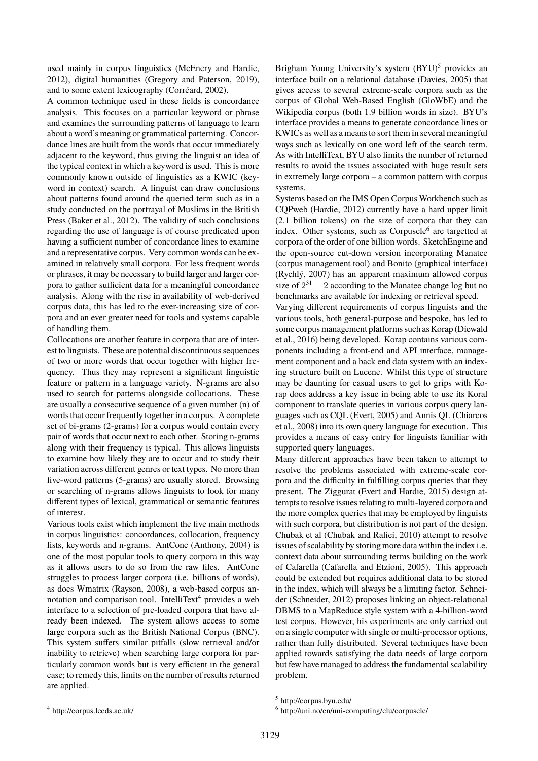used mainly in corpus linguistics [\(McEnery and Hardie,](#page-0-0) [2012\)](#page-0-0), digital humanities [\(Gregory and Paterson, 2019\)](#page-0-0), and to some extent lexicography [\(Corréard, 2002\)](#page-0-0).

A common technique used in these fields is concordance analysis. This focuses on a particular keyword or phrase and examines the surrounding patterns of language to learn about a word's meaning or grammatical patterning. Concordance lines are built from the words that occur immediately adjacent to the keyword, thus giving the linguist an idea of the typical context in which a keyword is used. This is more commonly known outside of linguistics as a KWIC (keyword in context) search. A linguist can draw conclusions about patterns found around the queried term such as in a study conducted on the portrayal of Muslims in the British Press [\(Baker et al., 2012\)](#page-0-0). The validity of such conclusions regarding the use of language is of course predicated upon having a sufficient number of concordance lines to examine and a representative corpus. Very common words can be examined in relatively small corpora. For less frequent words or phrases, it may be necessary to build larger and larger corpora to gather sufficient data for a meaningful concordance analysis. Along with the rise in availability of web-derived corpus data, this has led to the ever-increasing size of corpora and an ever greater need for tools and systems capable of handling them.

Collocations are another feature in corpora that are of interest to linguists. These are potential discontinuous sequences of two or more words that occur together with higher frequency. Thus they may represent a significant linguistic feature or pattern in a language variety. N-grams are also used to search for patterns alongside collocations. These are usually a consecutive sequence of a given number (n) of words that occur frequently together in a corpus. A complete set of bi-grams (2-grams) for a corpus would contain every pair of words that occur next to each other. Storing n-grams along with their frequency is typical. This allows linguists to examine how likely they are to occur and to study their variation across different genres or text types. No more than five-word patterns (5-grams) are usually stored. Browsing or searching of n-grams allows linguists to look for many different types of lexical, grammatical or semantic features of interest.

Various tools exist which implement the five main methods in corpus linguistics: concordances, collocation, frequency lists, keywords and n-grams. AntConc [\(Anthony, 2004\)](#page-0-0) is one of the most popular tools to query corpora in this way as it allows users to do so from the raw files. AntConc struggles to process larger corpora (i.e. billions of words), as does Wmatrix [\(Rayson, 2008\)](#page-0-0), a web-based corpus an-notation and comparison tool. IntelliText<sup>[4](#page-0-0)</sup> provides a web interface to a selection of pre-loaded corpora that have already been indexed. The system allows access to some large corpora such as the British National Corpus (BNC). This system suffers similar pitfalls (slow retrieval and/or inability to retrieve) when searching large corpora for particularly common words but is very efficient in the general case; to remedy this, limits on the number of results returned are applied.

Brigham Young University's system  $(BYU)^5$  $(BYU)^5$  provides an interface built on a relational database [\(Davies, 2005\)](#page-0-0) that gives access to several extreme-scale corpora such as the corpus of Global Web-Based English (GloWbE) and the Wikipedia corpus (both 1.9 billion words in size). BYU's interface provides a means to generate concordance lines or KWICs as well as a means to sort them in several meaningful ways such as lexically on one word left of the search term. As with IntelliText, BYU also limits the number of returned results to avoid the issues associated with huge result sets in extremely large corpora – a common pattern with corpus systems.

Systems based on the IMS Open Corpus Workbench such as CQPweb [\(Hardie, 2012\)](#page-0-0) currently have a hard upper limit (2.1 billion tokens) on the size of corpora that they can index. Other systems, such as Corpuscle<sup>[6](#page-0-0)</sup> are targetted at corpora of the order of one billion words. SketchEngine and the open-source cut-down version incorporating Manatee (corpus management tool) and Bonito (graphical interface) [\(Rychlý, 2007\)](#page-0-0) has an apparent maximum allowed corpus size of  $2^{31} - 2$  according to the Manatee change log but no benchmarks are available for indexing or retrieval speed.

Varying different requirements of corpus linguists and the various tools, both general-purpose and bespoke, has led to some corpus management platforms such as Korap [\(Diewald](#page-0-0) [et al., 2016\)](#page-0-0) being developed. Korap contains various components including a front-end and API interface, management component and a back end data system with an indexing structure built on Lucene. Whilst this type of structure may be daunting for casual users to get to grips with Korap does address a key issue in being able to use its Koral component to translate queries in various corpus query languages such as CQL [\(Evert, 2005\)](#page-0-0) and Annis QL [\(Chiarcos](#page-0-0) [et al., 2008\)](#page-0-0) into its own query language for execution. This provides a means of easy entry for linguists familiar with supported query languages.

Many different approaches have been taken to attempt to resolve the problems associated with extreme-scale corpora and the difficulty in fulfilling corpus queries that they present. The Ziggurat [\(Evert and Hardie, 2015\)](#page-0-0) design attempts to resolve issues relating to multi-layered corpora and the more complex queries that may be employed by linguists with such corpora, but distribution is not part of the design. Chubak et al [\(Chubak and Rafiei, 2010\)](#page-0-0) attempt to resolve issues of scalability by storing more data within the index i.e. context data about surrounding terms building on the work of Cafarella [\(Cafarella and Etzioni, 2005\)](#page-0-0). This approach could be extended but requires additional data to be stored in the index, which will always be a limiting factor. Schneider [\(Schneider, 2012\)](#page-0-0) proposes linking an object-relational DBMS to a MapReduce style system with a 4-billion-word test corpus. However, his experiments are only carried out on a single computer with single or multi-processor options, rather than fully distributed. Several techniques have been applied towards satisfying the data needs of large corpora but few have managed to address the fundamental scalability problem.

<sup>4</sup> http://corpus.leeds.ac.uk/

<sup>5</sup> http://corpus.byu.edu/

<sup>6</sup> http://uni.no/en/uni-computing/clu/corpuscle/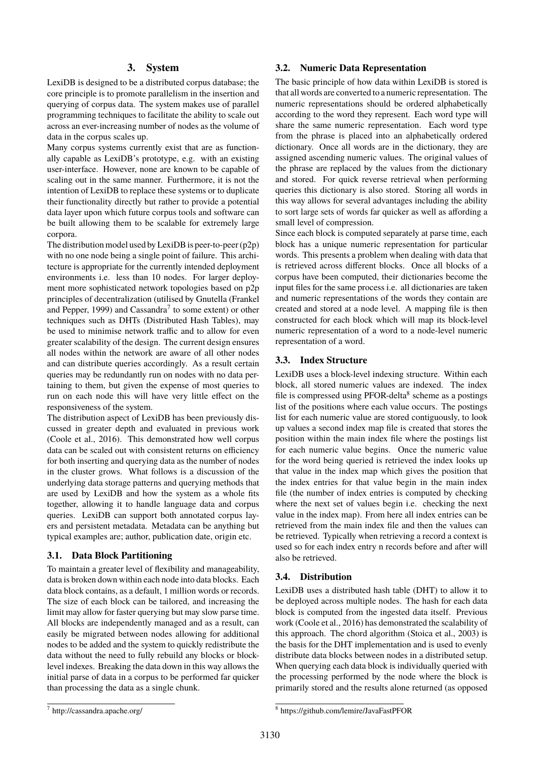## **3. System**

LexiDB is designed to be a distributed corpus database; the core principle is to promote parallelism in the insertion and querying of corpus data. The system makes use of parallel programming techniques to facilitate the ability to scale out across an ever-increasing number of nodes as the volume of data in the corpus scales up.

Many corpus systems currently exist that are as functionally capable as LexiDB's prototype, e.g. with an existing user-interface. However, none are known to be capable of scaling out in the same manner. Furthermore, it is not the intention of LexiDB to replace these systems or to duplicate their functionality directly but rather to provide a potential data layer upon which future corpus tools and software can be built allowing them to be scalable for extremely large corpora.

The distribution model used by LexiDB is peer-to-peer (p2p) with no one node being a single point of failure. This architecture is appropriate for the currently intended deployment environments i.e. less than 10 nodes. For larger deployment more sophisticated network topologies based on p2p principles of decentralization (utilised by Gnutella [\(Frankel](#page-0-0) [and Pepper, 1999\)](#page-0-0) and Cassandra<sup>[7](#page-0-0)</sup> to some extent) or other techniques such as DHTs (Distributed Hash Tables), may be used to minimise network traffic and to allow for even greater scalability of the design. The current design ensures all nodes within the network are aware of all other nodes and can distribute queries accordingly. As a result certain queries may be redundantly run on nodes with no data pertaining to them, but given the expense of most queries to run on each node this will have very little effect on the responsiveness of the system.

The distribution aspect of LexiDB has been previously discussed in greater depth and evaluated in previous work [\(Coole et al., 2016\)](#page-0-0). This demonstrated how well corpus data can be scaled out with consistent returns on efficiency for both inserting and querying data as the number of nodes in the cluster grows. What follows is a discussion of the underlying data storage patterns and querying methods that are used by LexiDB and how the system as a whole fits together, allowing it to handle language data and corpus queries. LexiDB can support both annotated corpus layers and persistent metadata. Metadata can be anything but typical examples are; author, publication date, origin etc.

#### **3.1. Data Block Partitioning**

To maintain a greater level of flexibility and manageability, data is broken down within each node into data blocks. Each data block contains, as a default, 1 million words or records. The size of each block can be tailored, and increasing the limit may allow for faster querying but may slow parse time. All blocks are independently managed and as a result, can easily be migrated between nodes allowing for additional nodes to be added and the system to quickly redistribute the data without the need to fully rebuild any blocks or blocklevel indexes. Breaking the data down in this way allows the initial parse of data in a corpus to be performed far quicker than processing the data as a single chunk.

#### **3.2. Numeric Data Representation**

The basic principle of how data within LexiDB is stored is that all words are converted to a numeric representation. The numeric representations should be ordered alphabetically according to the word they represent. Each word type will share the same numeric representation. Each word type from the phrase is placed into an alphabetically ordered dictionary. Once all words are in the dictionary, they are assigned ascending numeric values. The original values of the phrase are replaced by the values from the dictionary and stored. For quick reverse retrieval when performing queries this dictionary is also stored. Storing all words in this way allows for several advantages including the ability to sort large sets of words far quicker as well as affording a small level of compression.

Since each block is computed separately at parse time, each block has a unique numeric representation for particular words. This presents a problem when dealing with data that is retrieved across different blocks. Once all blocks of a corpus have been computed, their dictionaries become the input files for the same process i.e. all dictionaries are taken and numeric representations of the words they contain are created and stored at a node level. A mapping file is then constructed for each block which will map its block-level numeric representation of a word to a node-level numeric representation of a word.

#### **3.3. Index Structure**

LexiDB uses a block-level indexing structure. Within each block, all stored numeric values are indexed. The index file is compressed using PFOR-delta<sup>[8](#page-0-0)</sup> scheme as a postings list of the positions where each value occurs. The postings list for each numeric value are stored contiguously, to look up values a second index map file is created that stores the position within the main index file where the postings list for each numeric value begins. Once the numeric value for the word being queried is retrieved the index looks up that value in the index map which gives the position that the index entries for that value begin in the main index file (the number of index entries is computed by checking where the next set of values begin i.e. checking the next value in the index map). From here all index entries can be retrieved from the main index file and then the values can be retrieved. Typically when retrieving a record a context is used so for each index entry n records before and after will also be retrieved.

## **3.4. Distribution**

LexiDB uses a distributed hash table (DHT) to allow it to be deployed across multiple nodes. The hash for each data block is computed from the ingested data itself. Previous work [\(Coole et al., 2016\)](#page-0-0) has demonstrated the scalability of this approach. The chord algorithm [\(Stoica et al., 2003\)](#page-0-0) is the basis for the DHT implementation and is used to evenly distribute data blocks between nodes in a distributed setup. When querying each data block is individually queried with the processing performed by the node where the block is primarily stored and the results alone returned (as opposed

<sup>7</sup> http://cassandra.apache.org/

<sup>8</sup> https://github.com/lemire/JavaFastPFOR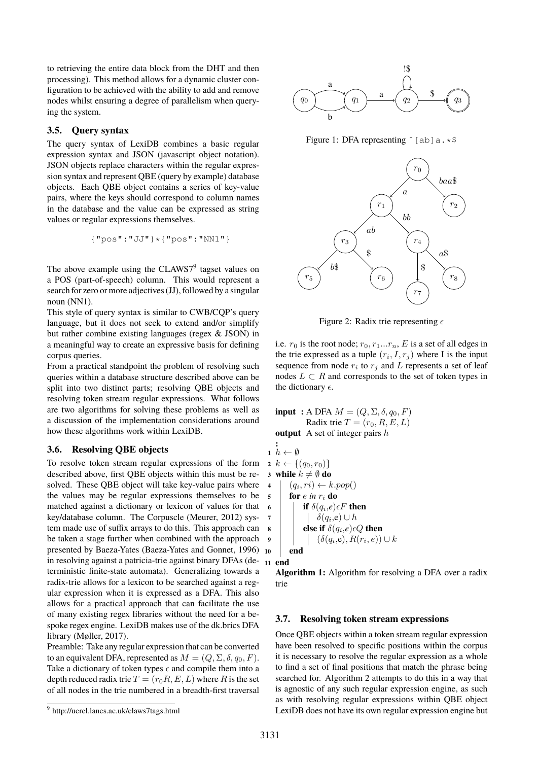to retrieving the entire data block from the DHT and then processing). This method allows for a dynamic cluster configuration to be achieved with the ability to add and remove nodes whilst ensuring a degree of parallelism when querying the system.

## **3.5. Query syntax**

The query syntax of LexiDB combines a basic regular expression syntax and JSON (javascript object notation). JSON objects replace characters within the regular expression syntax and represent QBE (query by example) database objects. Each QBE object contains a series of key-value pairs, where the keys should correspond to column names in the database and the value can be expressed as string values or regular expressions themselves.

$$
\{\texttt{"pos":"JJ"}\} \star \{\texttt{"pos":"NN1"\}}
$$

The above example using the  $CLAWS7<sup>9</sup>$  $CLAWS7<sup>9</sup>$  $CLAWS7<sup>9</sup>$  tagset values on a POS (part-of-speech) column. This would represent a search for zero or more adjectives (JJ), followed by a singular noun (NN1).

This style of query syntax is similar to CWB/CQP's query language, but it does not seek to extend and/or simplify but rather combine existing languages (regex & JSON) in a meaningful way to create an expressive basis for defining corpus queries.

From a practical standpoint the problem of resolving such queries within a database structure described above can be split into two distinct parts; resolving QBE objects and resolving token stream regular expressions. What follows are two algorithms for solving these problems as well as a discussion of the implementation considerations around how these algorithms work within LexiDB.

## **3.6. Resolving QBE objects**

To resolve token stream regular expressions of the form  $2 k \leftarrow \{(q_0, r_0)\}$ described above, first QBE objects within this must be resolved. These QBE object will take key-value pairs where the values may be regular expressions themselves to be matched against a dictionary or lexicon of values for that key/database column. The Corpuscle [\(Meurer, 2012\)](#page-0-0) system made use of suffix arrays to do this. This approach can be taken a stage further when combined with the approach presented by Baeza-Yates [\(Baeza-Yates and Gonnet, 1996\)](#page-0-0) in resolving against a patricia-trie against binary DFAs (de-**<sup>11</sup> end** terministic finite-state automata). Generalizing towards a radix-trie allows for a lexicon to be searched against a regular expression when it is expressed as a DFA. This also allows for a practical approach that can facilitate the use of many existing regex libraries without the need for a bespoke regex engine. LexiDB makes use of the dk.brics DFA library [\(Møller, 2017\)](#page-0-0).

Preamble: Take any regular expression that can be converted to an equivalent DFA, represented as  $M = (Q, \Sigma, \delta, q_0, F)$ . Take a dictionary of token types  $\epsilon$  and compile them into a depth reduced radix trie  $T = (r_0 R, E, L)$  where R is the set of all nodes in the trie numbered in a breadth-first traversal





Figure 1: DFA representing  $\hat{\ }$  [ab]a.\*\$



Figure 2: Radix trie representing  $\epsilon$ 

i.e.  $r_0$  is the root node;  $r_0, r_1...r_n$ , E is a set of all edges in the trie expressed as a tuple  $(r_i, I, r_j)$  where I is the input sequence from node  $r_i$  to  $r_j$  and L represents a set of leaf nodes  $L \subset R$  and corresponds to the set of token types in the dictionary  $\epsilon$ .

**input** : A DFA  $M = (Q, \Sigma, \delta, q_0, F)$ Radix trie  $T = (r_0, R, E, L)$ **output** A set of integer pairs h **:**

 $h \leftarrow \emptyset$  **while**  $k \neq \emptyset$  **do**   $(q_i, ri) \leftarrow k.pop()$  $\mathbf{5}$  **for** e in  $r_i$  **do if**  $\delta(q_i,e) \in F$  **then**   $\begin{array}{|c|c|c|c|} \hline \end{array}$   $\delta(q_i,\!{\rm e})\cup h$  **e e e if**  $\delta(q_i, e) \epsilon Q$  **then**  (δ(q<sup>i</sup> ,e), R(r<sup>i</sup> , e)) ∪ k **<sup>10</sup> end**

**Algorithm 1:** Algorithm for resolving a DFA over a radix trie

#### **3.7. Resolving token stream expressions**

Once QBE objects within a token stream regular expression have been resolved to specific positions within the corpus it is necessary to resolve the regular expression as a whole to find a set of final positions that match the phrase being searched for. Algorithm [2](#page-4-0) attempts to do this in a way that is agnostic of any such regular expression engine, as such as with resolving regular expressions within QBE object LexiDB does not have its own regular expression engine but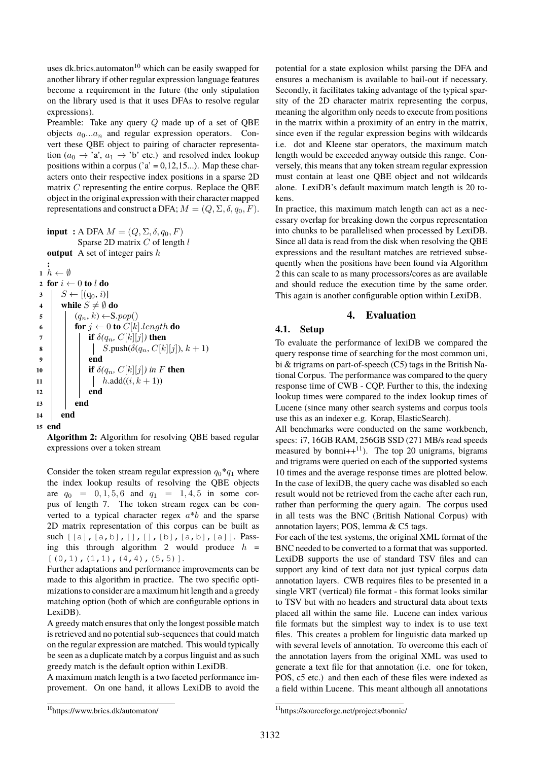uses dk.brics.automaton<sup>[10](#page-0-0)</sup> which can be easily swapped for another library if other regular expression language features become a requirement in the future (the only stipulation on the library used is that it uses DFAs to resolve regular expressions).

Preamble: Take any query Q made up of a set of QBE objects  $a_0...a_n$  and regular expression operators. Convert these QBE object to pairing of character representation  $(a_0 \rightarrow 'a', a_1 \rightarrow 'b'$  etc.) and resolved index lookup positions within a corpus ( $a' = 0,12,15...$ ). Map these characters onto their respective index positions in a sparse 2D matrix C representing the entire corpus. Replace the QBE object in the original expression with their character mapped representations and construct a DFA;  $M = (Q, \Sigma, \delta, q_0, F)$ .

**input :** A DFA  $M = (Q, \Sigma, \delta, q_0, F)$ Sparse 2D matrix  $C$  of length  $l$ **output** A set of integer pairs h

```
:
 1 h \leftarrow \emptyset2 for i \leftarrow 0 to l do
3 \mid S \leftarrow [(q_0, i)]4 while S \neq \emptyset do
\mathfrak{s} | (q_n, k) \leftarrowS.pop()
6 for j \leftarrow 0 to C[k].length do
7 if \delta(q_n, C[k][j]) then
8 | | | S.\text{push}(\delta(q_n, C[k][j]), k+1)9 end
10 if \delta(q_n, C[k][j]) in F then
11 | | h.add((i, k + 1))12 end
13 end
14 end
15 end
```
<span id="page-4-0"></span>**Algorithm 2:** Algorithm for resolving QBE based regular expressions over a token stream

Consider the token stream regular expression  $q_0 * q_1$  where the index lookup results of resolving the QBE objects are  $q_0 = 0, 1, 5, 6$  and  $q_1 = 1, 4, 5$  in some corpus of length 7. The token stream regex can be converted to a typical character regex  $a * b$  and the sparse 2D matrix representation of this corpus can be built as such [[a],[a,b],[],[],[b],[a,b],[a]]. Pass-ing this through algorithm [2](#page-4-0) would produce  $h =$  $[(0,1), (1,1), (4,4), (5,5)].$ 

Further adaptations and performance improvements can be made to this algorithm in practice. The two specific optimizations to consider are a maximum hit length and a greedy matching option (both of which are configurable options in LexiDB).

A greedy match ensures that only the longest possible match is retrieved and no potential sub-sequences that could match on the regular expression are matched. This would typically be seen as a duplicate match by a corpus linguist and as such greedy match is the default option within LexiDB.

A maximum match length is a two faceted performance improvement. On one hand, it allows LexiDB to avoid the potential for a state explosion whilst parsing the DFA and ensures a mechanism is available to bail-out if necessary. Secondly, it facilitates taking advantage of the typical sparsity of the 2D character matrix representing the corpus, meaning the algorithm only needs to execute from positions in the matrix within a proximity of an entry in the matrix, since even if the regular expression begins with wildcards i.e. dot and Kleene star operators, the maximum match length would be exceeded anyway outside this range. Conversely, this means that any token stream regular expression must contain at least one QBE object and not wildcards alone. LexiDB's default maximum match length is 20 tokens.

In practice, this maximum match length can act as a necessary overlap for breaking down the corpus representation into chunks to be parallelised when processed by LexiDB. Since all data is read from the disk when resolving the QBE expressions and the resultant matches are retrieved subsequently when the positions have been found via Algorithm [2](#page-4-0) this can scale to as many processors/cores as are available and should reduce the execution time by the same order. This again is another configurable option within LexiDB.

# **4. Evaluation**

# **4.1. Setup**

To evaluate the performance of lexiDB we compared the query response time of searching for the most common uni, bi & trigrams on part-of-speech (C5) tags in the British National Corpus. The performance was compared to the query response time of CWB - CQP. Further to this, the indexing lookup times were compared to the index lookup times of Lucene (since many other search systems and corpus tools use this as an indexer e.g. Korap, ElasticSearch).

All benchmarks were conducted on the same workbench, specs: i7, 16GB RAM, 256GB SSD (271 MB/s read speeds measured by bonni++ $^{11}$  $^{11}$  $^{11}$ ). The top 20 unigrams, bigrams and trigrams were queried on each of the supported systems 10 times and the average response times are plotted below. In the case of lexiDB, the query cache was disabled so each result would not be retrieved from the cache after each run, rather than performing the query again. The corpus used in all tests was the BNC (British National Corpus) with annotation layers; POS, lemma & C5 tags.

For each of the test systems, the original XML format of the BNC needed to be converted to a format that was supported. LexiDB supports the use of standard TSV files and can support any kind of text data not just typical corpus data annotation layers. CWB requires files to be presented in a single VRT (vertical) file format - this format looks similar to TSV but with no headers and structural data about texts placed all within the same file. Lucene can index various file formats but the simplest way to index is to use text files. This creates a problem for linguistic data marked up with several levels of annotation. To overcome this each of the annotation layers from the original XML was used to generate a text file for that annotation (i.e. one for token, POS, c5 etc.) and then each of these files were indexed as a field within Lucene. This meant although all annotations

<sup>10</sup>https://www.brics.dk/automaton/

<sup>11</sup>https://sourceforge.net/projects/bonnie/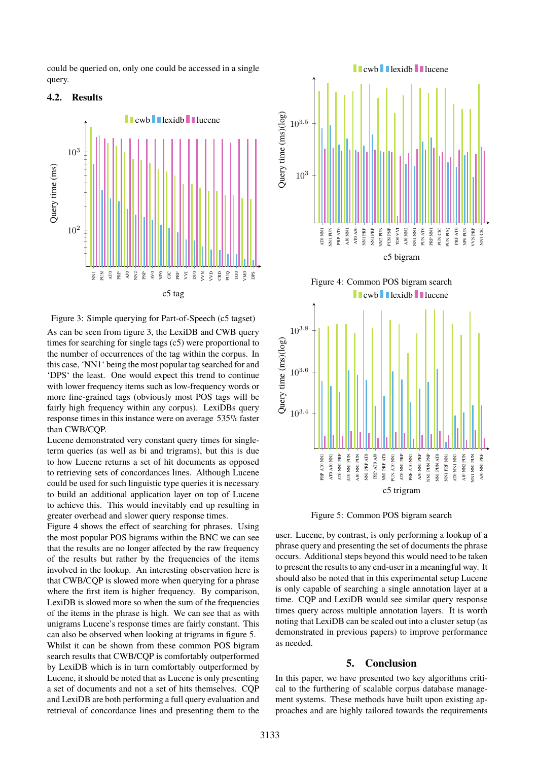could be queried on, only one could be accessed in a single query.

## **4.2. Results**



<span id="page-5-0"></span>Figure 3: Simple querying for Part-of-Speech (c5 tagset)

As can be seen from figure [3,](#page-5-0) the LexiDB and CWB query times for searching for single tags (c5) were proportional to the number of occurrences of the tag within the corpus. In this case, 'NN1' being the most popular tag searched for and 'DPS' the least. One would expect this trend to continue with lower frequency items such as low-frequency words or more fine-grained tags (obviously most POS tags will be fairly high frequency within any corpus). LexiDBs query response times in this instance were on average 535% faster than CWB/CQP.

Lucene demonstrated very constant query times for singleterm queries (as well as bi and trigrams), but this is due to how Lucene returns a set of hit documents as opposed to retrieving sets of concordances lines. Although Lucene could be used for such linguistic type queries it is necessary to build an additional application layer on top of Lucene to achieve this. This would inevitably end up resulting in greater overhead and slower query response times.

Figure [4](#page-5-1) shows the effect of searching for phrases. Using the most popular POS bigrams within the BNC we can see that the results are no longer affected by the raw frequency of the results but rather by the frequencies of the items involved in the lookup. An interesting observation here is that CWB/CQP is slowed more when querying for a phrase where the first item is higher frequency. By comparison, LexiDB is slowed more so when the sum of the frequencies of the items in the phrase is high. We can see that as with unigrams Lucene's response times are fairly constant. This can also be observed when looking at trigrams in figure [5.](#page-5-2) Whilst it can be shown from these common POS bigram search results that CWB/CQP is comfortably outperformed by LexiDB which is in turn comfortably outperformed by Lucene, it should be noted that as Lucene is only presenting a set of documents and not a set of hits themselves. CQP and LexiDB are both performing a full query evaluation and retrieval of concordance lines and presenting them to the

<span id="page-5-1"></span>

<span id="page-5-2"></span>Figure 5: Common POS bigram search

user. Lucene, by contrast, is only performing a lookup of a phrase query and presenting the set of documents the phrase occurs. Additional steps beyond this would need to be taken to present the results to any end-user in a meaningful way. It should also be noted that in this experimental setup Lucene is only capable of searching a single annotation layer at a time. CQP and LexiDB would see similar query response times query across multiple annotation layers. It is worth noting that LexiDB can be scaled out into a cluster setup (as demonstrated in previous papers) to improve performance as needed.

#### **5. Conclusion**

In this paper, we have presented two key algorithms critical to the furthering of scalable corpus database management systems. These methods have built upon existing approaches and are highly tailored towards the requirements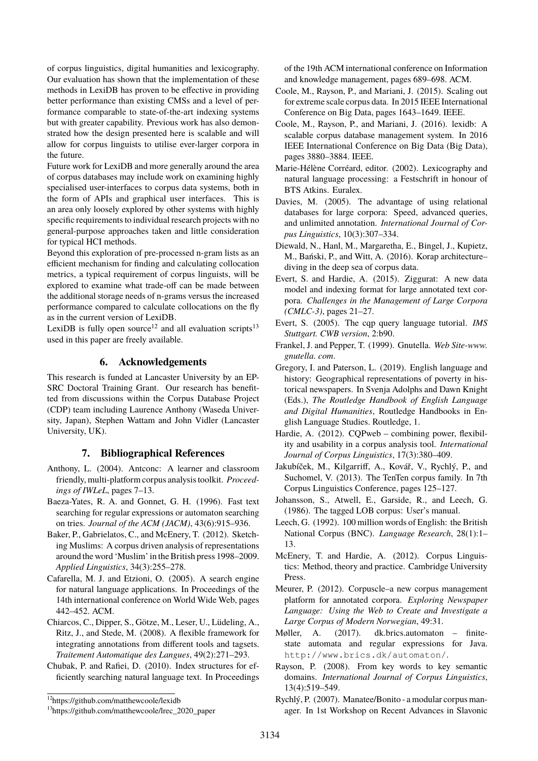of corpus linguistics, digital humanities and lexicography. Our evaluation has shown that the implementation of these methods in LexiDB has proven to be effective in providing better performance than existing CMSs and a level of performance comparable to state-of-the-art indexing systems but with greater capability. Previous work has also demonstrated how the design presented here is scalable and will allow for corpus linguists to utilise ever-larger corpora in the future.

Future work for LexiDB and more generally around the area of corpus databases may include work on examining highly specialised user-interfaces to corpus data systems, both in the form of APIs and graphical user interfaces. This is an area only loosely explored by other systems with highly specific requirements to individual research projects with no general-purpose approaches taken and little consideration for typical HCI methods.

Beyond this exploration of pre-processed n-gram lists as an efficient mechanism for finding and calculating collocation metrics, a typical requirement of corpus linguists, will be explored to examine what trade-off can be made between the additional storage needs of n-grams versus the increased performance compared to calculate collocations on the fly as in the current version of LexiDB.

LexiDB is fully open source<sup>[12](#page-0-0)</sup> and all evaluation scripts<sup>[13](#page-0-0)</sup> used in this paper are freely available.

## **6. Acknowledgements**

This research is funded at Lancaster University by an EP-SRC Doctoral Training Grant. Our research has benefitted from discussions within the Corpus Database Project (CDP) team including Laurence Anthony (Waseda University, Japan), Stephen Wattam and John Vidler (Lancaster University, UK).

## **7. Bibliographical References**

- Anthony, L. (2004). Antconc: A learner and classroom friendly, multi-platform corpus analysis toolkit. *Proceedings of IWLeL*, pages 7–13.
- Baeza-Yates, R. A. and Gonnet, G. H. (1996). Fast text searching for regular expressions or automaton searching on tries. *Journal of the ACM (JACM)*, 43(6):915–936.
- Baker, P., Gabrielatos, C., and McEnery, T. (2012). Sketching Muslims: A corpus driven analysis of representations around the word 'Muslim' in the British press 1998–2009. *Applied Linguistics*, 34(3):255–278.
- Cafarella, M. J. and Etzioni, O. (2005). A search engine for natural language applications. In Proceedings of the 14th international conference on World Wide Web, pages 442–452. ACM.
- Chiarcos, C., Dipper, S., Götze, M., Leser, U., Lüdeling, A., Ritz, J., and Stede, M. (2008). A flexible framework for integrating annotations from different tools and tagsets. *Traitement Automatique des Langues*, 49(2):271–293.
- Chubak, P. and Rafiei, D. (2010). Index structures for efficiently searching natural language text. In Proceedings

of the 19th ACM international conference on Information and knowledge management, pages 689–698. ACM.

- Coole, M., Rayson, P., and Mariani, J. (2015). Scaling out for extreme scale corpus data. In 2015 IEEE International Conference on Big Data, pages 1643–1649. IEEE.
- Coole, M., Rayson, P., and Mariani, J. (2016). lexidb: A scalable corpus database management system. In 2016 IEEE International Conference on Big Data (Big Data), pages 3880–3884. IEEE.
- Marie-Hélène Corréard, editor. (2002). Lexicography and natural language processing: a Festschrift in honour of BTS Atkins. Euralex.
- Davies, M. (2005). The advantage of using relational databases for large corpora: Speed, advanced queries, and unlimited annotation. *International Journal of Corpus Linguistics*, 10(3):307–334.
- Diewald, N., Hanl, M., Margaretha, E., Bingel, J., Kupietz, M., Bański, P., and Witt, A. (2016). Korap architecture– diving in the deep sea of corpus data.
- Evert, S. and Hardie, A. (2015). Ziggurat: A new data model and indexing format for large annotated text corpora. *Challenges in the Management of Large Corpora (CMLC-3)*, pages 21–27.
- Evert, S. (2005). The cqp query language tutorial. *IMS Stuttgart. CWB version*, 2:b90.
- Frankel, J. and Pepper, T. (1999). Gnutella. *Web Site-www. gnutella. com*.
- Gregory, I. and Paterson, L. (2019). English language and history: Geographical representations of poverty in historical newspapers. In Svenja Adolphs and Dawn Knight (Eds.), *The Routledge Handbook of English Language and Digital Humanities*, Routledge Handbooks in English Language Studies. Routledge, 1.
- Hardie, A. (2012). CQPweb combining power, flexibility and usability in a corpus analysis tool. *International Journal of Corpus Linguistics*, 17(3):380–409.
- Jakubíček, M., Kilgarriff, A., Kovář, V., Rychlý, P., and Suchomel, V. (2013). The TenTen corpus family. In 7th Corpus Linguistics Conference, pages 125–127.
- Johansson, S., Atwell, E., Garside, R., and Leech, G. (1986). The tagged LOB corpus: User's manual.
- Leech, G. (1992). 100 million words of English: the British National Corpus (BNC). *Language Research*, 28(1):1– 13.
- McEnery, T. and Hardie, A. (2012). Corpus Linguistics: Method, theory and practice. Cambridge University Press.
- Meurer, P. (2012). Corpuscle–a new corpus management platform for annotated corpora. *Exploring Newspaper Language: Using the Web to Create and Investigate a Large Corpus of Modern Norwegian*, 49:31.
- Møller, A. (2017). dk.brics.automaton finitestate automata and regular expressions for Java. http://www.brics.dk/automaton/.
- Rayson, P. (2008). From key words to key semantic domains. *International Journal of Corpus Linguistics*, 13(4):519–549.
- Rychlý, P. (2007). Manatee/Bonito a modular corpus manager. In 1st Workshop on Recent Advances in Slavonic

<sup>12</sup>https://github.com/matthewcoole/lexidb

<sup>&</sup>lt;sup>13</sup>https://github.com/matthewcoole/lrec\_2020\_paper